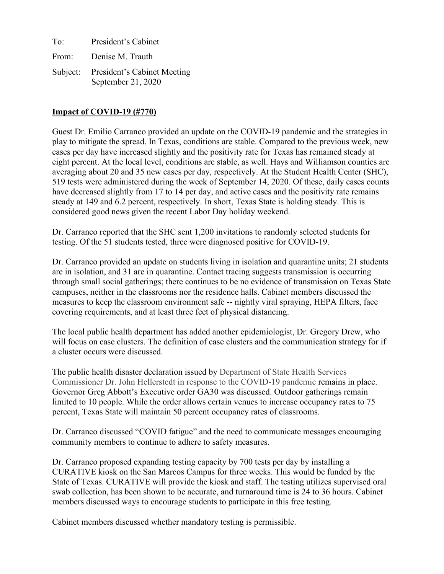To: President's Cabinet From: Denise M. Trauth Subject: President's Cabinet Meeting September 21, 2020

## **Impact of COVID-19 (#770)**

Guest Dr. Emilio Carranco provided an update on the COVID-19 pandemic and the strategies in play to mitigate the spread. In Texas, conditions are stable. Compared to the previous week, new cases per day have increased slightly and the positivity rate for Texas has remained steady at eight percent. At the local level, conditions are stable, as well. Hays and Williamson counties are averaging about 20 and 35 new cases per day, respectively. At the Student Health Center (SHC), 519 tests were administered during the week of September 14, 2020. Of these, daily cases counts have decreased slightly from 17 to 14 per day, and active cases and the positivity rate remains steady at 149 and 6.2 percent, respectively. In short, Texas State is holding steady. This is considered good news given the recent Labor Day holiday weekend.

Dr. Carranco reported that the SHC sent 1,200 invitations to randomly selected students for testing. Of the 51 students tested, three were diagnosed positive for COVID-19.

Dr. Carranco provided an update on students living in isolation and quarantine units; 21 students are in isolation, and 31 are in quarantine. Contact tracing suggests transmission is occurring through small social gatherings; there continues to be no evidence of transmission on Texas State campuses, neither in the classrooms nor the residence halls. Cabinet members discussed the measures to keep the classroom environment safe -- nightly viral spraying, HEPA filters, face covering requirements, and at least three feet of physical distancing.

The local public health department has added another epidemiologist, Dr. Gregory Drew, who will focus on case clusters. The definition of case clusters and the communication strategy for if a cluster occurs were discussed.

The public health disaster declaration issued by Department of State Health Services Commissioner Dr. John Hellerstedt in response to the COVID-19 pandemic remains in place. Governor Greg Abbott's Executive order GA30 was discussed. Outdoor gatherings remain limited to 10 people. While the order allows certain venues to increase occupancy rates to 75 percent, Texas State will maintain 50 percent occupancy rates of classrooms.

Dr. Carranco discussed "COVID fatigue" and the need to communicate messages encouraging community members to continue to adhere to safety measures.

Dr. Carranco proposed expanding testing capacity by 700 tests per day by installing a CURATIVE kiosk on the San Marcos Campus for three weeks. This would be funded by the State of Texas. CURATIVE will provide the kiosk and staff. The testing utilizes supervised oral swab collection, has been shown to be accurate, and turnaround time is 24 to 36 hours. Cabinet members discussed ways to encourage students to participate in this free testing.

Cabinet members discussed whether mandatory testing is permissible.